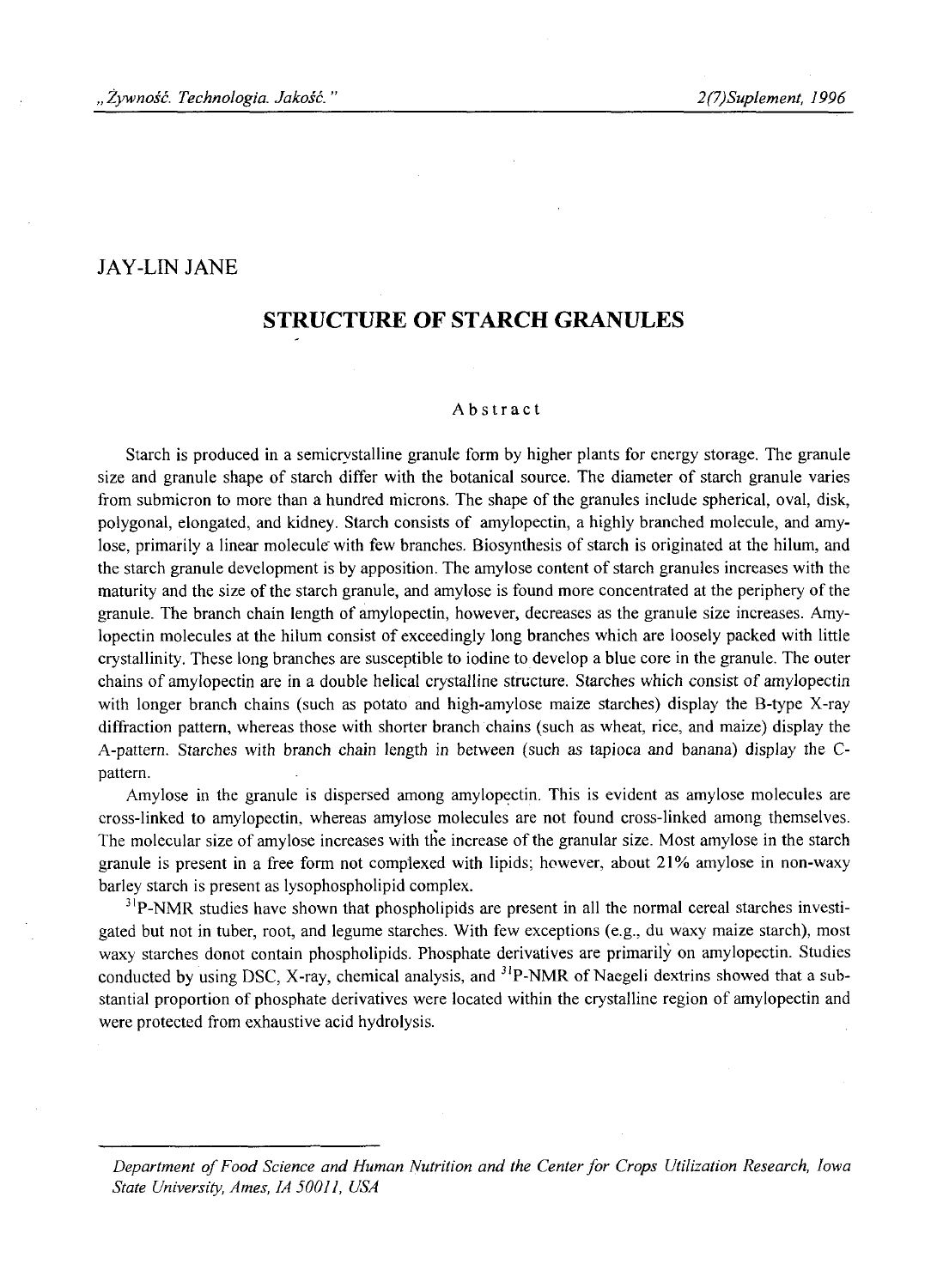### JAY-LIN JANE

# **STRUCTURE OF STARCH GRANULES**

#### Abstract

Starch is produced in a semicrystalline granule form by higher plants for energy storage. The granule size and granule shape of starch differ with the botanical source. The diameter of starch granule varies from submicron to more than a hundred microns. The shape of the granules include spherical, oval, disk, polygonal, elongated, and kidney. Starch consists of amylopectin, a highly branched molecule, and amylose, primarily a linear molecule with few branches. Biosynthesis of starch is originated at the hilum, and the starch granule development is by apposition. The amylose content of starch granules increases with the maturity and the size of the starch granule, and amylose is found more concentrated at the periphery of the granule. The branch chain length of amylopectin, however, decreases as the granule size increases. Amylopectin molecules at the hilum consist of exceedingly long branches which are loosely packed with little crystallinity. These long branches are susceptible to iodine to develop a blue core in the granule. The outer chains of amylopectin are in a double helical crystalline structure. Starches which consist of amylopectin with longer branch chains (such as potato and high-amylose maize starches) display the B-type X-ray diffraction pattern, whereas those with shorter branch chains (such as wheat, rice, and maize) display the A-pattern. Starches with branch chain length in between (such as tapioca and banana) display the Cpattern.

Amylose in the granule is dispersed among amylopectin. This is evident as amylose molecules are cross-linked to amylopectin, whereas amylose molecules are not found cross-linked among themselves. The molecular size of amylose increases with the increase of the granular size. Most amylose in the starch granule is present in a free form not complexed with lipids; however, about 21% amylose in non-waxy barley starch is present as lysophospholipid complex.

 $3^{1}P$ -NMR studies have shown that phospholipids are present in all the normal cereal starches investigated but not in tuber, root, and legume starches. With few exceptions (e.g., du waxy maize starch), most waxy starches donot contain phospholipids. Phosphate derivatives are primarily on amylopectin. Studies conducted by using DSC, X-ray, chemical analysis, and  ${}^{31}P$ -NMR of Naegeli dextrins showed that a substantial proportion of phosphate derivatives were located within the crystalline region of amylopectin and were protected from exhaustive acid hydrolysis.

Department of Food Science and Human Nutrition and the Center for Crops Utilization Research, Iowa *State University, Ames, 1A 50011, USA*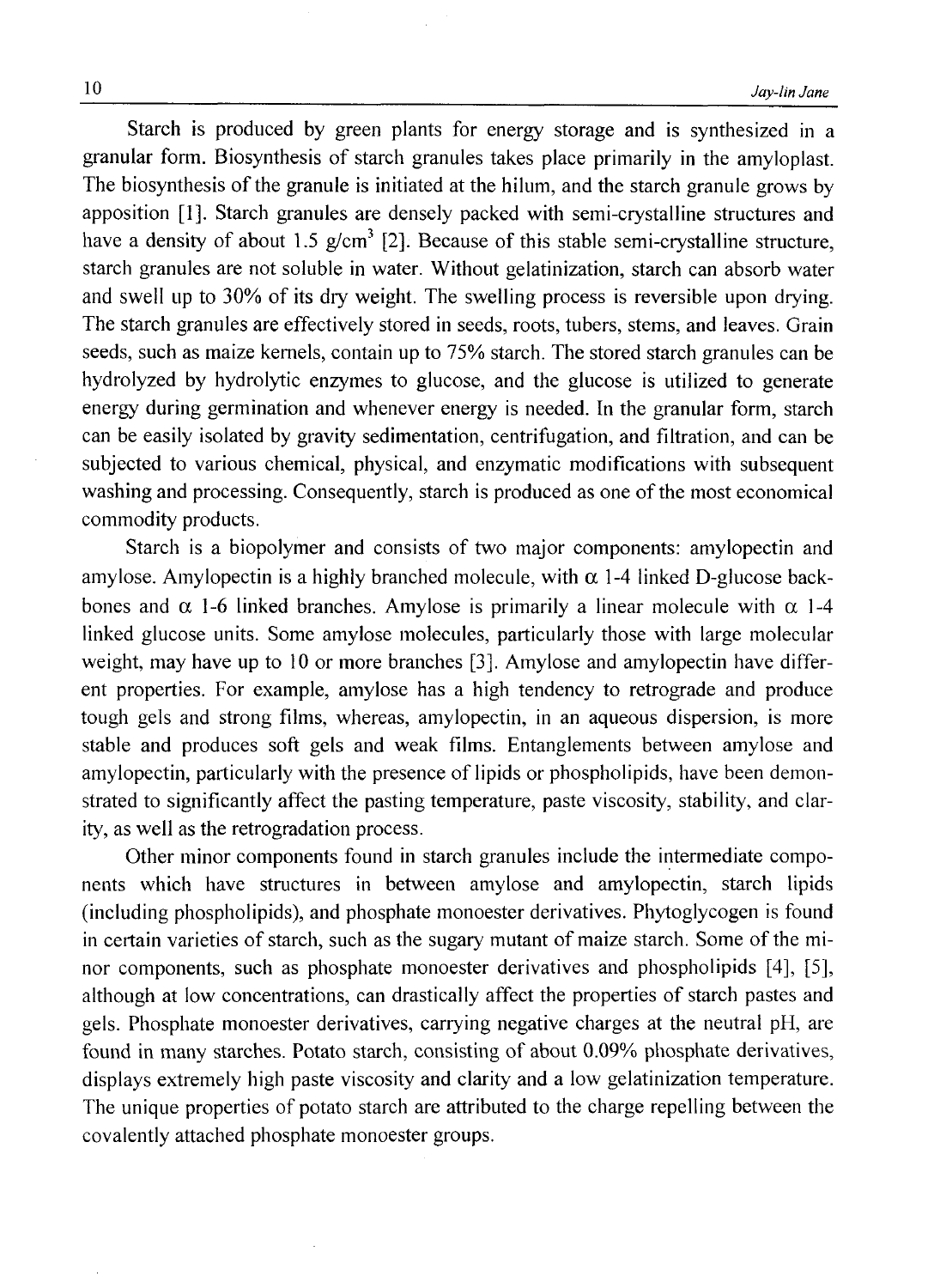Starch is produced by green plants for energy storage and is synthesized in a granular form. Biosynthesis of starch granules takes place primarily in the amyloplast. The biosynthesis of the granule is initiated at the hilum, and the starch granule grows by apposition [1], Starch granules are densely packed with semi-crystalline structures and have a density of about 1.5  $g/cm<sup>3</sup>$  [2]. Because of this stable semi-crystalline structure, starch granules are not soluble in water. Without gelatinization, starch can absorb water and swell lip to 30% of its dry weight. The swelling process is reversible upon drying. The starch granules are effectively stored in seeds, roots, tubers, stems, and leaves. Grain seeds, such as maize kernels, contain up to 75% starch. The stored starch granules can be hydrolyzed by hydrolytic enzymes to glucose, and the glucose is utilized to generate energy during germination and whenever energy is needed. In the granular form, starch can be easily isolated by gravity sedimentation, centrifugation, and filtration, and can be subjected to various chemical, physical, and enzymatic modifications with subsequent washing and processing. Consequently, starch is produced as one of the most economical commodity products.

Starch is a biopolymer and consists of two major components: amylopectin and amylose. Amylopectin is a highly branched molecule, with  $\alpha$  1-4 linked D-glucose backbones and  $\alpha$  1-6 linked branches. Amylose is primarily a linear molecule with  $\alpha$  1-4 linked glucose units. Some amylose molecules, particularly those with large molecular weight, may have up to 10 or more branches [3]. Amylose and amylopectin have different properties. For example, amylose has a high tendency to retrograde and produce tough gels and strong films, whereas, amylopectin, in an aqueous dispersion, is more stable and produces soft gels and weak films. Entanglements between amylose and amylopectin, particularly with the presence of lipids or phospholipids, have been demonstrated to significantly affect the pasting temperature, paste viscosity, stability, and clarity, as well as the retrogradation process.

Other minor components found in starch granules include the intermediate components which have structures in between amylose and amylopectin, starch lipids (including phospholipids), and phosphate monoester derivatives. Phytoglycogen is found in certain varieties of starch, such as the sugary mutant of maize starch. Some of the minor components, such as phosphate monoester derivatives and phospholipids [4], [5], although at low concentrations, can drastically affect the properties of starch pastes and gels. Phosphate monoester derivatives, carrying negative charges at the neutral pH, are found in many starches. Potato starch, consisting of about 0.09% phosphate derivatives, displays extremely high paste viscosity and clarity and a low gelatinization temperature. The unique properties of potato starch are attributed to the charge repelling between the covalently attached phosphate monoester groups.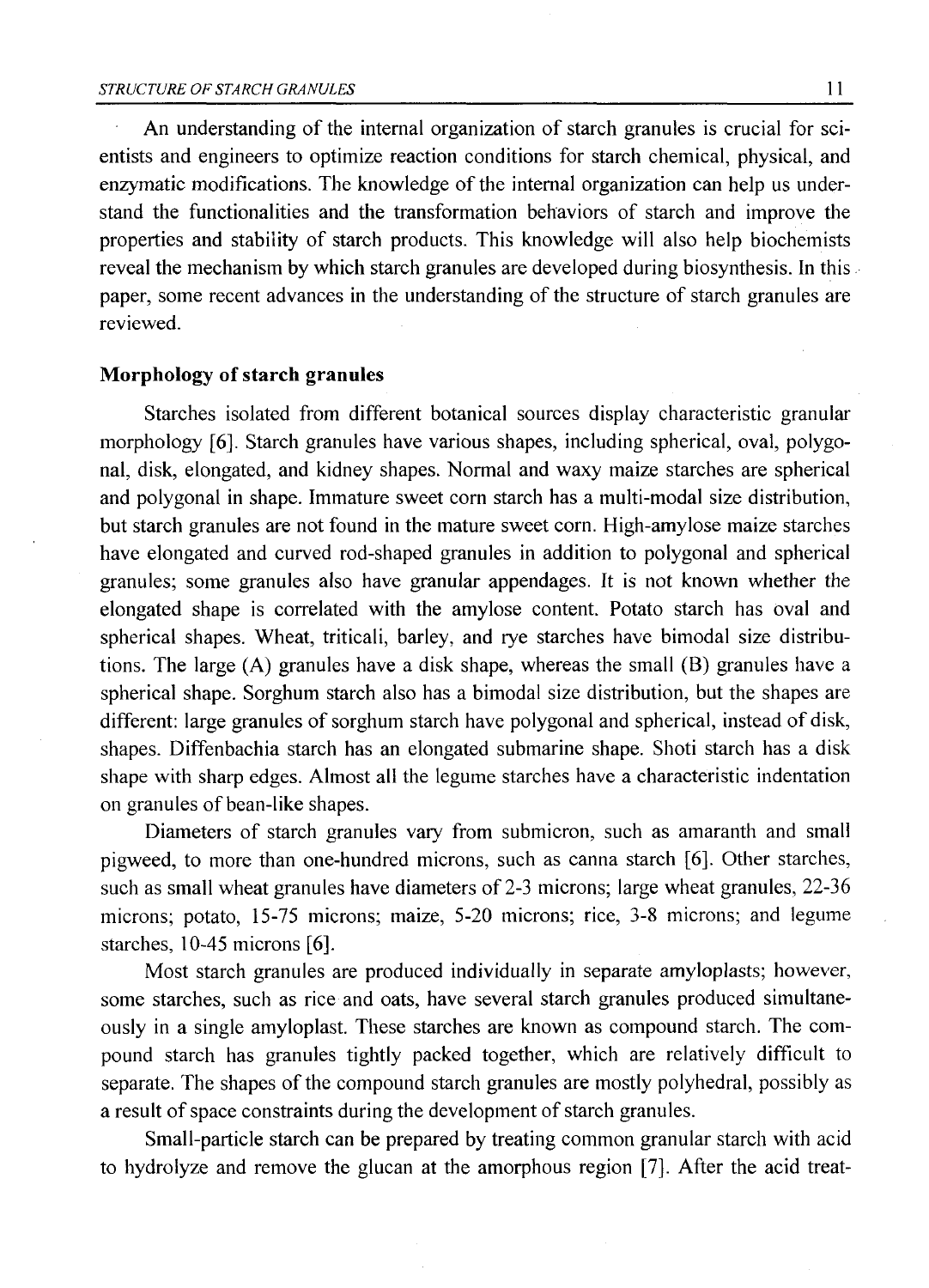An understanding of the internal organization of starch granules is crucial for scientists and engineers to optimize reaction conditions for starch chemical, physical, and enzymatic modifications. The knowledge of the internal organization can help us understand the functionalities and the transformation behaviors of starch and improve the properties and stability of starch products. This knowledge will also help biochemists reveal the mechanism by which starch granules are developed during biosynthesis. In this paper, some recent advances in the understanding of the structure of starch granules are reviewed.

### **Morphology of starch granules**

Starches isolated from different botanical sources display characteristic granular morphology [6], Starch granules have various shapes, including spherical, oval, polygonal, disk, elongated, and kidney shapes. Normal and waxy maize starches are spherical and polygonal in shape. Immature sweet corn starch has a multi-modal size distribution, but starch granules are not found in the mature sweet corn. High-amylose maize starches have elongated and curved rod-shaped granules in addition to polygonal and spherical granules; some granules also have granular appendages. It is not known whether the elongated shape is correlated with the amylose content. Potato starch has oval and spherical shapes. Wheat, triticali, barley, and rye starches have bimodal size distributions. The large (A) granules have a disk shape, whereas the small (B) granules have a spherical shape. Sorghum starch also has a bimodal size distribution, but the shapes are different: large granules of sorghum starch have polygonal and spherical, instead of disk, shapes. Diffenbachia starch has an elongated submarine shape. Shoti starch has a disk shape with sharp edges. Almost all the legume starches have a characteristic indentation on granules of bean-like shapes.

Diameters of starch granules vary from submicron, such as amaranth and small pigweed, to more than one-hundred microns, such as canna starch [6]. Other starches, such as small wheat granules have diameters of 2-3 microns; large wheat granules, 22-36 microns; potato, 15-75 microns; maize, 5-20 microns; rice, 3-8 microns; and legume starches, 10-45 microns [6].

Most starch granules are produced individually in separate amyloplasts; however, some starches, such as rice and oats, have several starch granules produced simultaneously in a single amyloplast. These starches are known as compound starch. The compound starch has granules tightly packed together, which are relatively difficult to separate. The shapes of the compound starch granules are mostly polyhedral, possibly as a result of space constraints during the development of starch granules.

Small-particle starch can be prepared by treating common granular starch with acid to hydrolyze and remove the glucan at the amorphous region [7]. After the acid treat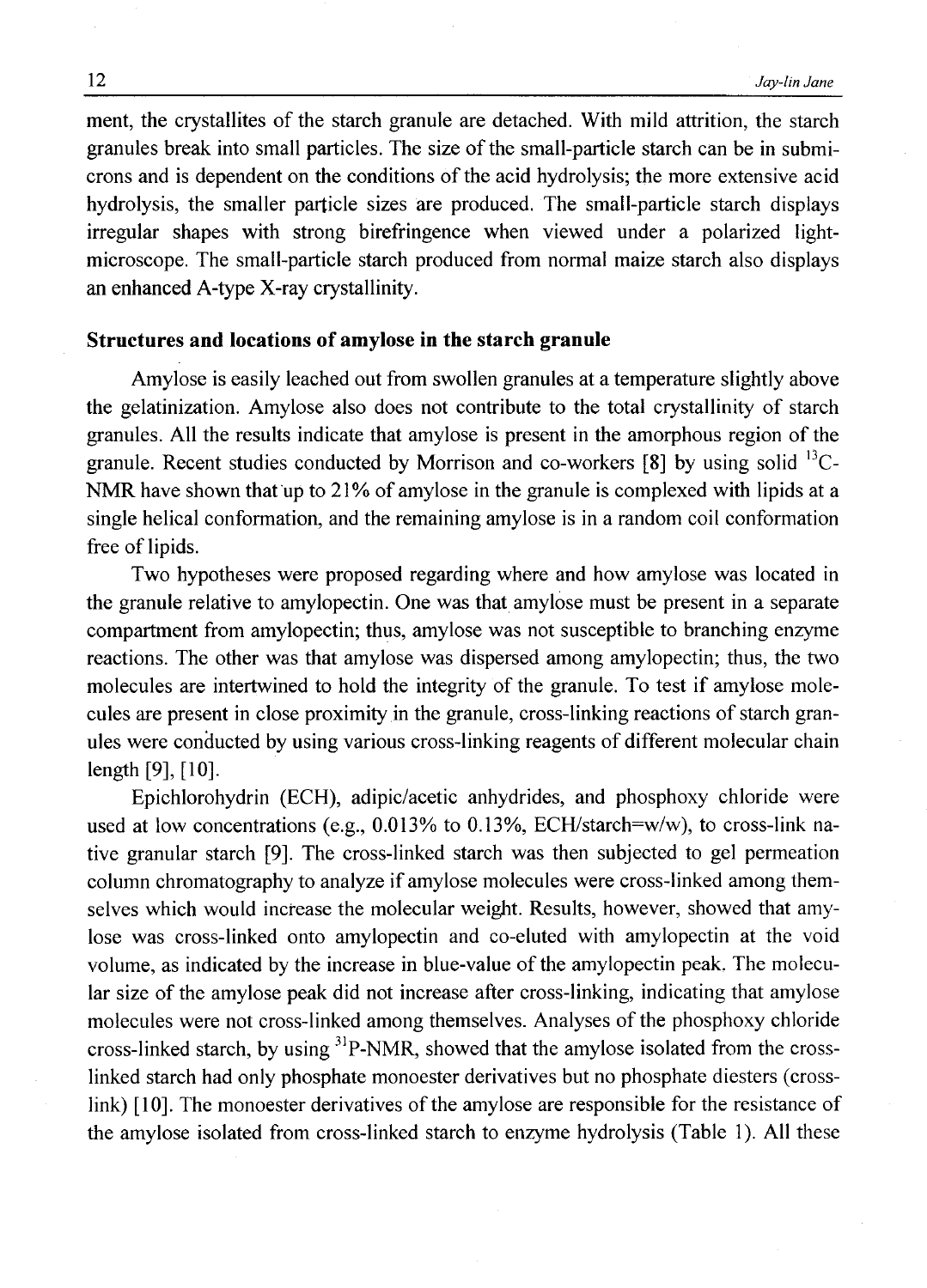ment, the crystallites of the starch granule are detached. With mild attrition, the starch granules break into small particles. The size of the small-particle starch can be in submicrons and is dependent on the conditions of the acid hydrolysis; the more extensive acid hydrolysis, the smaller particle sizes are produced. The small-particle starch displays irregular shapes with strong birefringence when viewed under a polarized lightmicroscope. The small-particle starch produced from normal maize starch also displays an enhanced A-type X-ray crystallinity.

### **Structures and locations of amylose in the starch granule**

Amylose is easily leached out from swollen granules at a temperature slightly above the gelatinization. Amylose also does not contribute to the total crystallinity of starch granules. All the results indicate that amylose is present in the amorphous region of the granule. Recent studies conducted by Morrison and co-workers [8] by using solid 13C-NMR have shown that up to 21% of amylose in the granule is complexed with lipids at a single helical conformation, and the remaining amylose is in a random coil conformation free of lipids.

Two hypotheses were proposed regarding where and how amylose was located in the granule relative to amylopectin. One was that amylose must be present in a separate compartment from amylopectin; thus, amylose was not susceptible to branching enzyme reactions. The other was that amylose was dispersed among amylopectin; thus, the two molecules are intertwined to hold the integrity of the granule. To test if amylose molecules are present in close proximity in the granule, cross-linking reactions of starch granules were conducted by using various cross-linking reagents of different molecular chain length [9], [10].

Epichlorohydrin (ECH), adipic/acetic anhydrides, and phosphoxy chloride were used at low concentrations (e.g., 0.013% to 0.13%, ECH/starch=w/w), to cross-link native granular starch [9]. The cross-linked starch was then subjected to gel permeation column chromatography to analyze if amylose molecules were cross-linked among themselves which would increase the molecular weight. Results, however, showed that amylose was cross-linked onto amylopectin and co-eluted with amylopectin at the void volume, as indicated by the increase in blue-value of the amylopectin peak. The molecular size of the amylose peak did not increase after cross-linking, indicating that amylose molecules were not cross-linked among themselves. Analyses of the phosphoxy chloride cross-linked starch, by using <sup>31</sup>P-NMR, showed that the amylose isolated from the crosslinked starch had only phosphate monoester derivatives but no phosphate diesters (crosslink) [10]. The monoester derivatives of the amylose are responsible for the resistance of the amylose isolated from cross-linked starch to enzyme hydrolysis (Table 1). All these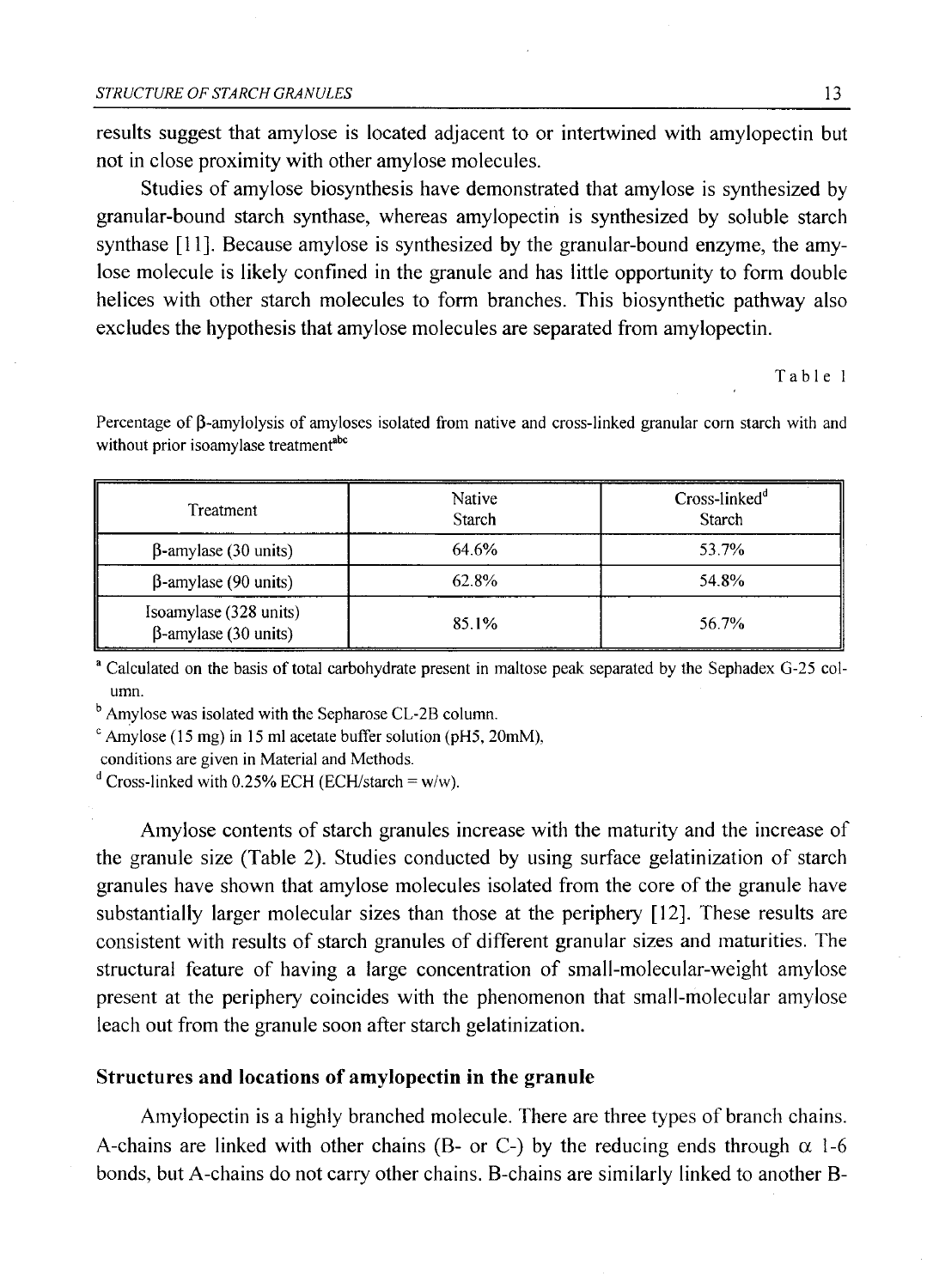results suggest that amylose is located adjacent to or intertwined with amylopectin but not in close proximity with other amylose molecules.

Studies of amylose biosynthesis have demonstrated that amylose is synthesized by granular-bound starch synthase, whereas amylopectin is synthesized by soluble starch synthase [11], Because amylose is synthesized by the granular-bound enzyme, the amylose molecule is likely confined in the granule and has little opportunity to form double helices with other starch molecules to form branches. This biosynthetic pathway also excludes the hypothesis that amylose molecules are separated from amylopectin.

Table 1

Percentage of  $\beta$ -amylolysis of amyloses isolated from native and cross-linked granular corn starch with and without prior isoamylase treatment<sup>abc</sup>

| Treatment                                             | Native<br>Starch | Cross-linked <sup>a</sup><br>Starch |
|-------------------------------------------------------|------------------|-------------------------------------|
| $\beta$ -amylase (30 units)                           | 64.6%            | 53.7%                               |
| $\beta$ -amylase (90 units)                           | 62.8%            | 54.8%                               |
| Isoamylase (328 units)<br>$\beta$ -amylase (30 units) | 85.1%            | 56.7%                               |

a Calculated on the basis of total carbohydrate present in maltose peak separated by the Sephadex G-25 column.

<sup>b</sup> Amylose was isolated with the Sepharose CL-2B column.

 $\textdegree$  Amylose (15 mg) in 15 ml acetate buffer solution (pH5, 20mM),

conditions are given in Material and Methods.

<sup>d</sup> Cross-linked with 0.25% ECH (ECH/starch = w/w).

Amylose contents of starch granules increase with the maturity and the increase of the granule size (Table 2). Studies conducted by using surface gelatinization of starch granules have shown that amylose molecules isolated from the core of the granule have substantially larger molecular sizes than those at the periphery [12], These results are consistent with results of starch granules of different granular sizes and maturities. The structural feature of having a large concentration of small-molecular-weight amylose present at the periphery coincides with the phenomenon that small-molecular amylose leach out from the granule soon after starch gelatinization.

### **Structures and locations of amylopectin in the granule**

Amylopectin is a highly branched molecule. There are three types of branch chains. A-chains are linked with other chains (B- or C-) by the reducing ends through  $\alpha$  1-6 bonds, but A-chains do not carry other chains. B-chains are similarly linked to another B-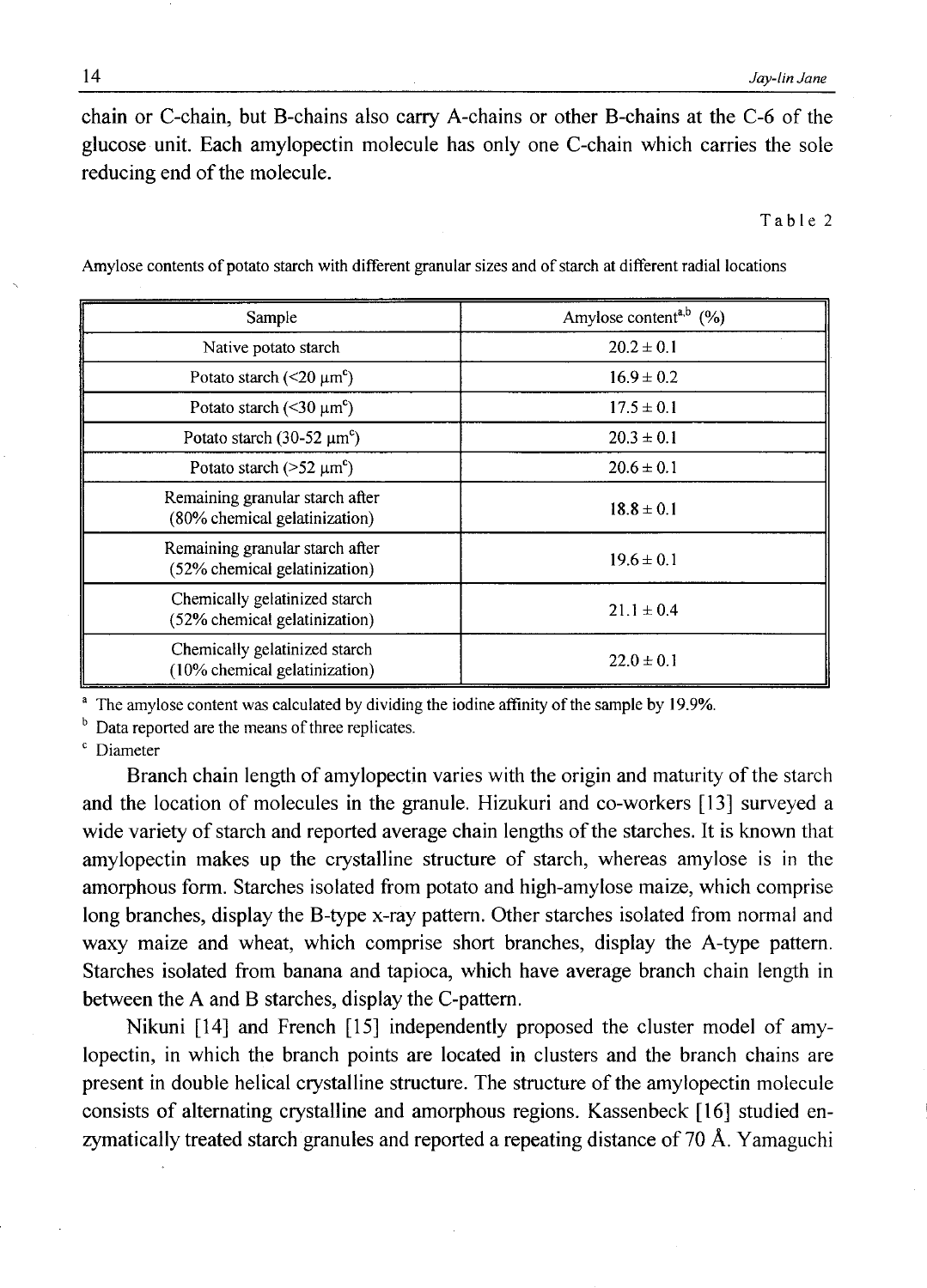chain or C-chain, but B-chains also carry A-chains or other B-chains at the C-6 of the glucose unit. Each amylopectin molecule has only one C-chain which carries the sole reducing end of the molecule.

Table 2

| Sample                                                           | Amylose content <sup>a,b</sup> $(\% )$ |
|------------------------------------------------------------------|----------------------------------------|
| Native potato starch                                             | $20.2 \pm 0.1$                         |
| Potato starch ( $\leq$ 20 $\mu$ m <sup>c</sup> )                 | $16.9 \pm 0.2$                         |
| Potato starch ( $\leq 30 \mu m^c$ )                              | $17.5 \pm 0.1$                         |
| Potato starch $(30-52 \mu m^{\circ})$                            | $20.3 \pm 0.1$                         |
| Potato starch ( $>52 \mu m^{\circ}$ )                            | $20.6 \pm 0.1$                         |
| Remaining granular starch after<br>(80% chemical gelatinization) | $18.8 \pm 0.1$                         |
| Remaining granular starch after<br>(52% chemical gelatinization) | $19.6 \pm 0.1$                         |
| Chemically gelatinized starch<br>(52% chemical gelatinization)   | $21.1 \pm 0.4$                         |
| Chemically gelatinized starch<br>(10% chemical gelatinization)   | $22.0 \pm 0.1$                         |

Amylose contents of potato starch with different granular sizes and of starch at different radial locations

The amylose content was calculated by dividing the iodine affinity of the sample by 19.9%.

 $<sup>b</sup>$  Data reported are the means of three replicates.</sup>

<sup>c</sup> Diameter

Branch chain length of amylopectin varies with the origin and maturity of the starch and the location of molecules in the granule. Hizukuri and co-workers [13] surveyed a wide variety of starch and reported average chain lengths of the starches. It is known that amylopectin makes up the crystalline structure of starch, whereas amylose is in the amorphous form. Starches isolated from potato and high-amylose maize, which comprise long branches, display the B-type x-ray pattern. Other starches isolated from normal and waxy maize and wheat, which comprise short branches, display the A-type pattern. Starches isolated from banana and tapioca, which have average branch chain length in between the A and B starches, display the C-pattern.

Nikuni [14] and French [15] independently proposed the cluster model of amylopectin, in which the branch points are located in clusters and the branch chains are present in double helical crystalline structure. The structure of the amylopectin molecule consists of alternating crystalline and amorphous regions. Kassenbeck [16] studied enzymatically treated starch granules and reported a repeating distance of 70 A. Yamaguchi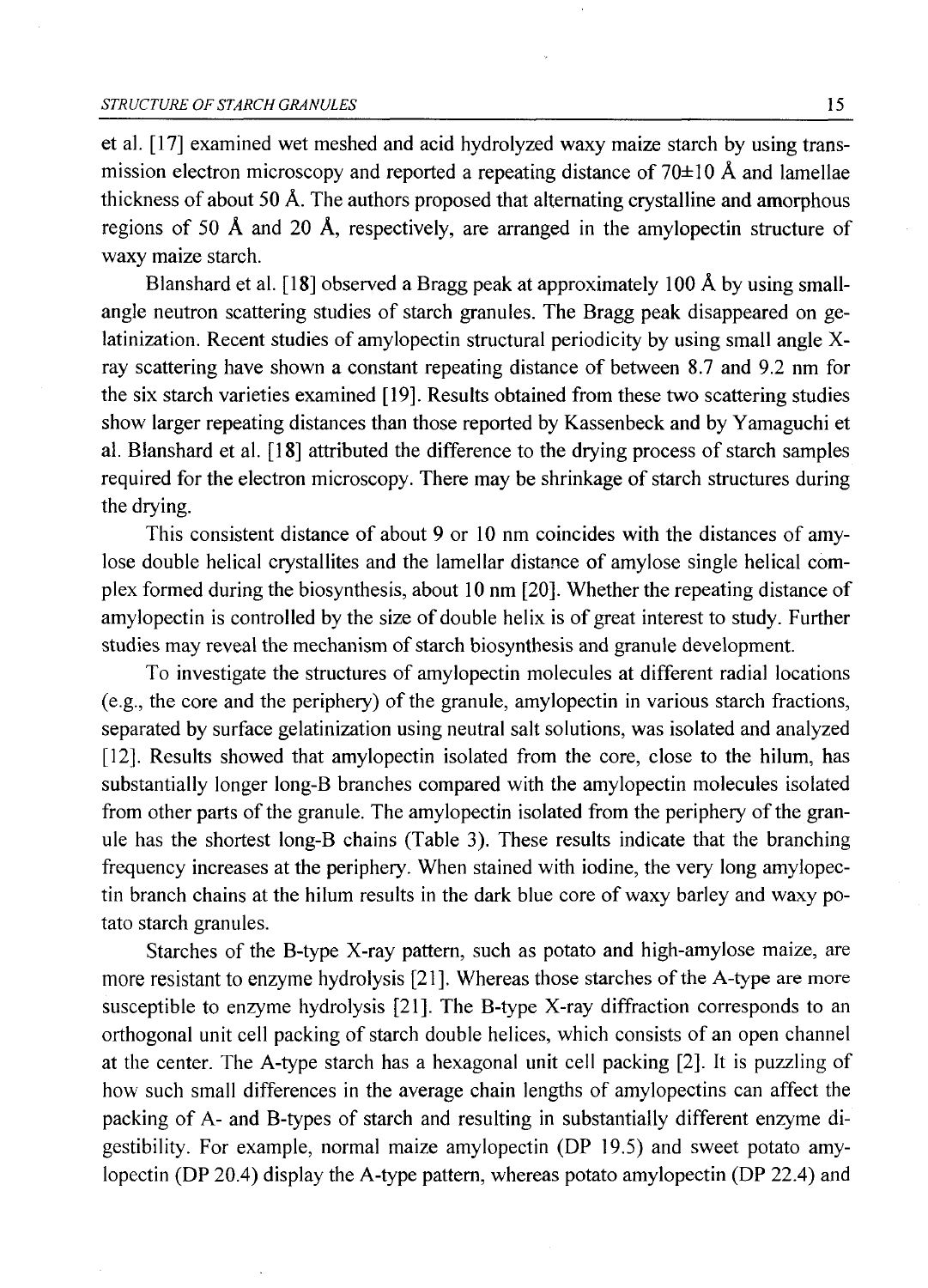et al. [17] examined wet meshed and acid hydrolyzed waxy maize starch by using transmission electron microscopy and reported a repeating distance of  $70\pm10$  Å and lamellae thickness of about 50 A. The authors proposed that alternating crystalline and amorphous regions of 50 A and 20 A, respectively, are arranged in the amylopectin structure of waxy maize starch.

Blanshard et al. [18] observed a Bragg peak at approximately 100 A by using smallangle neutron scattering studies of starch granules. The Bragg peak disappeared on gelatinization. Recent studies of amylopectin structural periodicity by using small angle Xray scattering have shown a constant repeating distance of between 8.7 and 9.2 nm for the six starch varieties examined [19]. Results obtained from these two scattering studies show larger repeating distances than those reported by Kassenbeck and by Yamaguchi et al. Blanshard et al. [18] attributed the difference to the drying process of starch samples required for the electron microscopy. There may be shrinkage of starch structures during the drying.

This consistent distance of about 9 or 10 nm coincides with the distances of amylose double helical crystallites and the lamellar distance of amylose single helical complex formed during the biosynthesis, about 10 nm [20]. Whether the repeating distance of amylopectin is controlled by the size of double helix is of great interest to study. Further studies may reveal the mechanism of starch biosynthesis and granule development.

To investigate the structures of amylopectin molecules at different radial locations (e.g., the core and the periphery) of the granule, amylopectin in various starch fractions, separated by surface gelatinization using neutral salt solutions, was isolated and analyzed [12], Results showed that amylopectin isolated from the core, close to the hilum, has substantially longer long-B branches compared with the amylopectin molecules isolated from other parts of the granule. The amylopectin isolated from the periphery of the granule has the shortest long-B chains (Table 3). These results indicate that the branching frequency increases at the periphery. When stained with iodine, the very long amylopectin branch chains at the hilum results in the dark blue core of waxy barley and waxy potato starch granules.

Starches of the B-type X-ray pattern, such as potato and high-amylose maize, are more resistant to enzyme hydrolysis [21]. Whereas those starches of the A-type are more susceptible to enzyme hydrolysis [21]. The B-type X-ray diffraction corresponds to an orthogonal unit cell packing of starch double helices, which consists of an open channel at the center. The A-type starch has a hexagonal unit cell packing [2]. It is puzzling of how such small differences in the average chain lengths of amylopectins can affect the packing of A- and B-types of starch and resulting in substantially different enzyme digestibility. For example, normal maize amylopectin (DP 19.5) and sweet potato amylopectin (DP 20.4) display the A-type pattern, whereas potato amylopectin (DP 22.4) and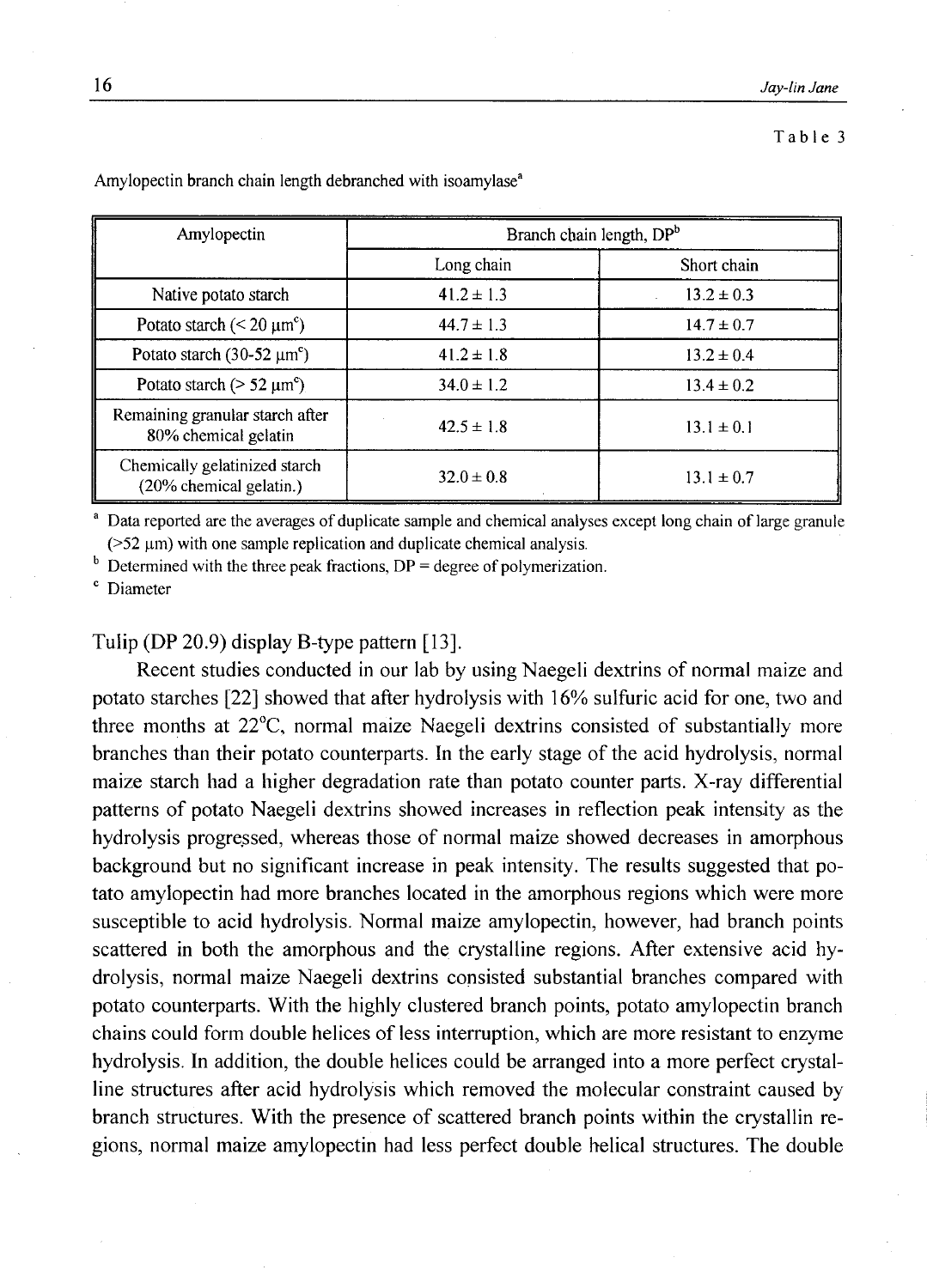#### Table 3

| Amylopectin                                              | Branch chain length, DPb |                |
|----------------------------------------------------------|--------------------------|----------------|
|                                                          | Long chain               | Short chain    |
| Native potato starch                                     | $41.2 \pm 1.3$           | $13.2 \pm 0.3$ |
| Potato starch ( $\leq 20 \mu m^c$ )                      | $44.7 \pm 1.3$           | $14.7 \pm 0.7$ |
| Potato starch (30-52 $\mu$ m <sup>c</sup> )              | $41.2 \pm 1.8$           | $13.2 \pm 0.4$ |
| Potato starch ( $> 52 \mu m^{\circ}$ )                   | $34.0 \pm 1.2$           | $13.4 \pm 0.2$ |
| Remaining granular starch after<br>80% chemical gelatin  | $42.5 \pm 1.8$           | $13.1 \pm 0.1$ |
| Chemically gelatinized starch<br>(20% chemical gelatin.) | $32.0 \pm 0.8$           | $13.1 \pm 0.7$ |

Amylopectin branch chain length debranched with isoamylase<sup>a</sup>

<sup>a</sup> Data reported are the averages of duplicate sample and chemical analyses except long chain of large granule  $($ >52  $\mu$ m) with one sample replication and duplicate chemical analysis.

 $<sup>b</sup>$  Determined with the three peak fractions, DP = degree of polymerization.</sup>

c Diameter

## Tulip (DP 20.9) display B-type pattern [13].

Recent studies conducted in our lab by using Naegeli dextrins of normal maize and potato starches [22] showed that after hydrolysis with 16% sulfuric acid for one, two and three months at 22°C, normal maize Naegeli dextrins consisted of substantially more branches than their potato counterparts. In the early stage of the acid hydrolysis, normal maize starch had a higher degradation rate than potato counter parts. X-ray differential patterns of potato Naegeli dextrins showed increases in reflection peak intensity as the hydrolysis progressed, whereas those of normal maize showed decreases in amorphous background but no significant increase in peak intensity. The results suggested that potato amylopectin had more branches located in the amorphous regions which were more susceptible to acid hydrolysis. Normal maize amylopectin, however, had branch points scattered in both the amorphous and the crystalline regions. After extensive acid hydrolysis, normal maize Naegeli dextrins consisted substantial branches compared with potato counterparts. With the highly clustered branch points, potato amylopectin branch chains could form double helices of less interruption, which are more resistant to enzyme hydrolysis. In addition, the double helices could be arranged into a more perfect crystalline structures after acid hydrolysis which removed the molecular constraint caused by branch structures. With the presence of scattered branch points within the crystallin regions, normal maize amylopectin had less perfect double helical structures. The double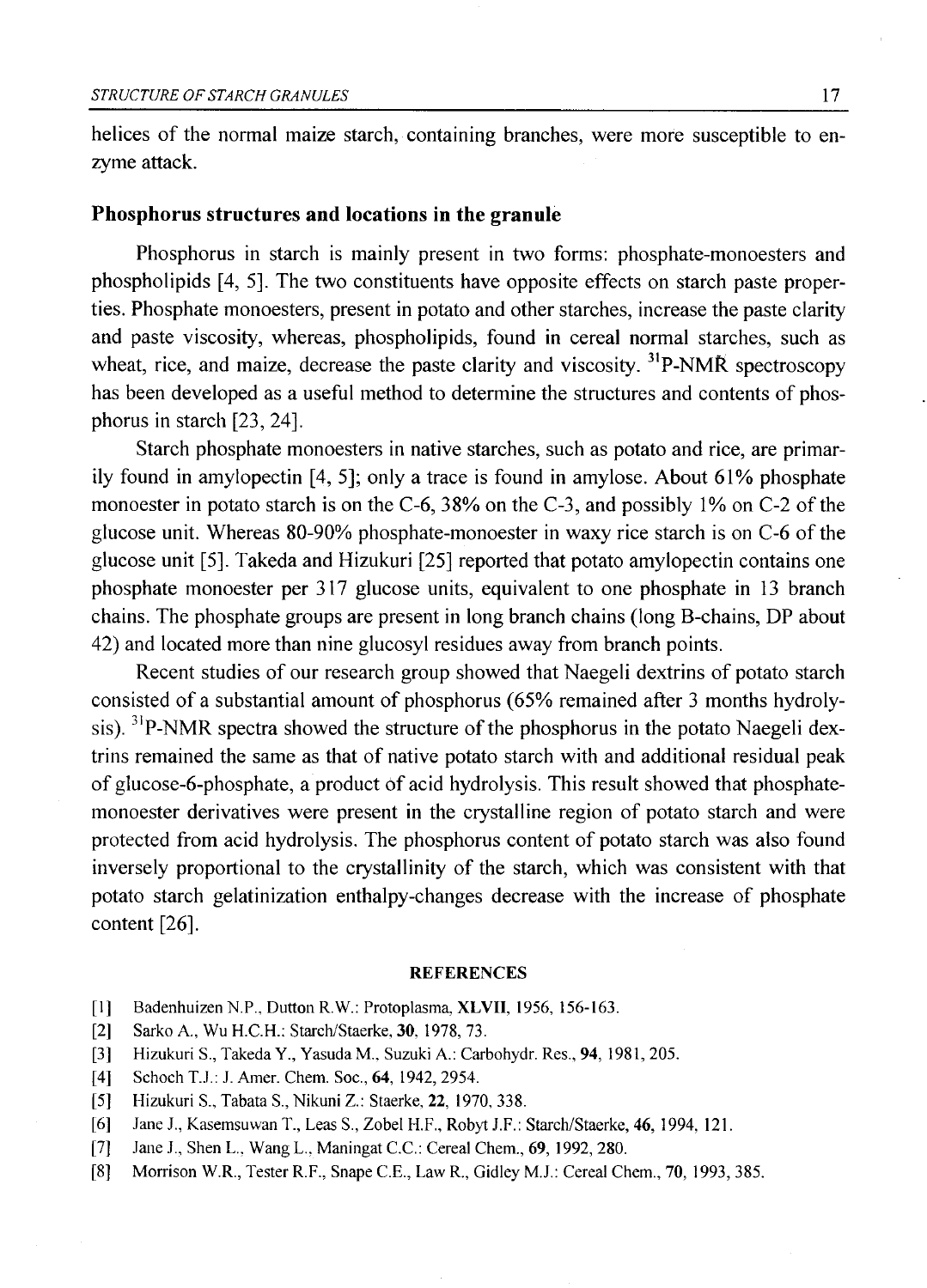helices of the normal maize starch, containing branches, were more susceptible to enzyme attack.

### **Phosphorus structures and locations in the granule**

Phosphorus in starch is mainly present in two forms: phosphate-monoesters and phospholipids [4, 5], The two constituents have opposite effects on starch paste properties. Phosphate monoesters, present in potato and other starches, increase the paste clarity and paste viscosity, whereas, phospholipids, found in cereal normal starches, such as wheat, rice, and maize, decrease the paste clarity and viscosity. <sup>31</sup>P-NMR spectroscopy has been developed as a useful method to determine the structures and contents of phosphorus in starch [23, 24].

Starch phosphate monoesters in native starches, such as potato and rice, are primarily found in amylopectin [4, 5]; only a trace is found in amylose. About 61% phosphate monoester in potato starch is on the C-6, 38% on the C-3, and possibly 1% on C-2 of the glucose unit. Whereas 80-90% phosphate-monoester in waxy rice starch is on C-6 of the glucose unit [5]. Takeda and Hizukuri [25] reported that potato amylopectin contains one phosphate monoester per 317 glucose units, equivalent to one phosphate in 13 branch chains. The phosphate groups are present in long branch chains (long B-chains, DP about 42) and located more than nine glucosyl residues away from branch points.

Recent studies of our research group showed that Naegeli dextrins of potato starch consisted of a substantial amount of phosphorus (65% remained after 3 months hydrolysis). <sup>31</sup>P-NMR spectra showed the structure of the phosphorus in the potato Naegeli dextrins remained the same as that of native potato starch with and additional residual peak of glucose-6-phosphate, a product of acid hydrolysis. This result showed that phosphatemonoester derivatives were present in the crystalline region of potato starch and were protected from acid hydrolysis. The phosphorus content of potato starch was also found inversely proportional to the crystallinity of the starch, which was consistent with that potato starch gelatinization enthalpy-changes decrease with the increase of phosphate content [26],

#### **REFERENCES**

- [1] Badenhuizen N.P., Dutton R.W.: Protoplasma, XLVII, 1956, 156-163.
- [2] Sarko A., Wu H.C.H.: Starch/Staerke, 30. 1978, 73.
- [3] Hizukuri S., Takeda Y., Yasuda M., Suzuki A.: Carbohydr. Res., 94, 1981, 205.
- [4] Schoch T.J.: J. Amer. Chem. Soc., 64, 1942, 2954.
- [5] Hizukuri S., Tabata S., Nikuni Z.: Staerke, 22, 1970, 338.
- [6] Jane J., Kasemsuwan T., Leas S., Zobel H.F., Robyt J.F.: Starch/Staerke, 46, 1994, 121.
- [7] Jane J., Shen L., Wang L., Maningat C.C.: Cereal Chem., 69, 1992, 280.
- [8] Morrison W.R., Tester R.F., Snape C.E., Law R., Gidley M.J.: Cereal Chem., 70, 1993, 385.